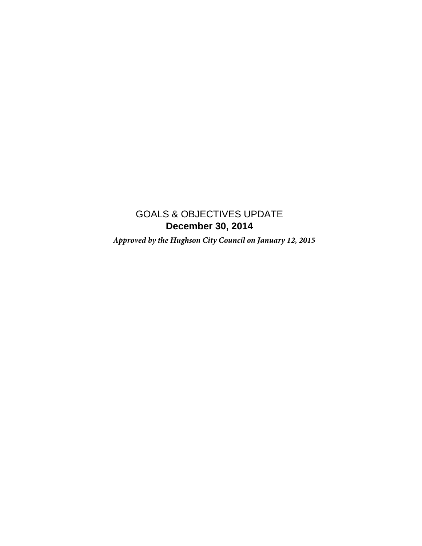## **December 30, 2014** GOALS & OBJECTIVES UPDATE

 *Approved by the Hughson City Council on January 12, 2015*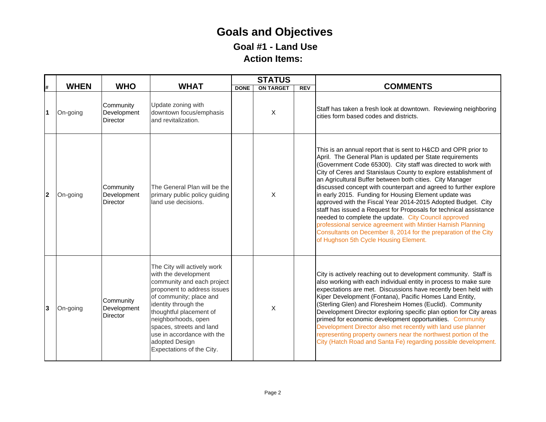## **Goals and Objectives Goal #1 - Land Use Action Items:**

|              |             |                                             |                                                                                                                                                                                                                                                                                                                                |             | <b>STATUS</b>             |            |                                                                                                                                                                                                                                                                                                                                                                                                                                                                                                                                                                                                                                                                                                                                                                                                                                   |
|--------------|-------------|---------------------------------------------|--------------------------------------------------------------------------------------------------------------------------------------------------------------------------------------------------------------------------------------------------------------------------------------------------------------------------------|-------------|---------------------------|------------|-----------------------------------------------------------------------------------------------------------------------------------------------------------------------------------------------------------------------------------------------------------------------------------------------------------------------------------------------------------------------------------------------------------------------------------------------------------------------------------------------------------------------------------------------------------------------------------------------------------------------------------------------------------------------------------------------------------------------------------------------------------------------------------------------------------------------------------|
| Ħ.           | <b>WHEN</b> | <b>WHO</b>                                  | <b>WHAT</b>                                                                                                                                                                                                                                                                                                                    | <b>DONE</b> | <b>ON TARGET</b>          | <b>REV</b> | <b>COMMENTS</b>                                                                                                                                                                                                                                                                                                                                                                                                                                                                                                                                                                                                                                                                                                                                                                                                                   |
| 1            | On-going    | Community<br>Development<br><b>Director</b> | Update zoning with<br>downtown focus/emphasis<br>and revitalization.                                                                                                                                                                                                                                                           |             | X                         |            | Staff has taken a fresh look at downtown. Reviewing neighboring<br>cities form based codes and districts.                                                                                                                                                                                                                                                                                                                                                                                                                                                                                                                                                                                                                                                                                                                         |
| $\mathbf{2}$ | On-going    | Community<br>Development<br>Director        | The General Plan will be the<br>primary public policy guiding<br>land use decisions.                                                                                                                                                                                                                                           |             | X                         |            | This is an annual report that is sent to H&CD and OPR prior to<br>April. The General Plan is updated per State requirements<br>(Government Code 65300). City staff was directed to work with<br>City of Ceres and Stanislaus County to explore establishment of<br>an Agricultural Buffer between both cities. City Manager<br>discussed concept with counterpart and agreed to further explore<br>in early 2015. Funding for Housing Element update was<br>approved with the Fiscal Year 2014-2015 Adopted Budget. City<br>staff has issued a Request for Proposals for technical assistance<br>needed to complete the update. City Council approved<br>professional service agreement with Mintier Harnish Planning<br>Consultants on December 8, 2014 for the preparation of the City<br>of Hughson 5th Cycle Housing Element. |
| 3            | On-going    | Community<br>Development<br>Director        | The City will actively work<br>with the development<br>community and each project<br>proponent to address issues<br>of community; place and<br>identity through the<br>thoughtful placement of<br>neighborhoods, open<br>spaces, streets and land<br>use in accordance with the<br>adopted Design<br>Expectations of the City. |             | $\boldsymbol{\mathsf{X}}$ |            | City is actively reaching out to development community. Staff is<br>also working with each individual entity in process to make sure<br>expectations are met. Discussions have recently been held with<br>Kiper Development (Fontana), Pacific Homes Land Entity,<br>(Sterling Glen) and Floresheim Homes (Euclid). Community<br>Development Director exploring specific plan option for City areas<br>primed for economic development opportunities. Community<br>Development Director also met recently with land use planner<br>representing property owners near the northwest portion of the<br>City (Hatch Road and Santa Fe) regarding possible development.                                                                                                                                                               |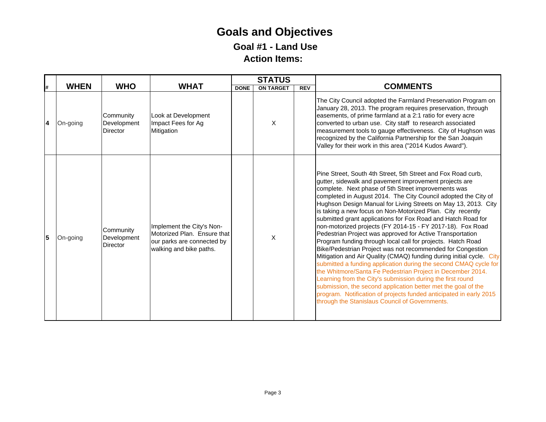## **Goals and Objectives Goal #1 - Land Use Action Items:**

|                |             |                                             |                                                                                                                   |             | <b>STATUS</b>    |            |                                                                                                                                                                                                                                                                                                                                                                                                                                                                                                                                                                                                                                                                                                                                                                                                                                                                                                                                                                                                                                                                                                                                                                          |
|----------------|-------------|---------------------------------------------|-------------------------------------------------------------------------------------------------------------------|-------------|------------------|------------|--------------------------------------------------------------------------------------------------------------------------------------------------------------------------------------------------------------------------------------------------------------------------------------------------------------------------------------------------------------------------------------------------------------------------------------------------------------------------------------------------------------------------------------------------------------------------------------------------------------------------------------------------------------------------------------------------------------------------------------------------------------------------------------------------------------------------------------------------------------------------------------------------------------------------------------------------------------------------------------------------------------------------------------------------------------------------------------------------------------------------------------------------------------------------|
| l#             | <b>WHEN</b> | <b>WHO</b>                                  | <b>WHAT</b>                                                                                                       | <b>DONE</b> | <b>ON TARGET</b> | <b>REV</b> | <b>COMMENTS</b>                                                                                                                                                                                                                                                                                                                                                                                                                                                                                                                                                                                                                                                                                                                                                                                                                                                                                                                                                                                                                                                                                                                                                          |
| $\overline{4}$ | On-going    | Community<br>Development<br><b>Director</b> | Look at Development<br>Impact Fees for Ag<br>Mitigation                                                           |             | X                |            | The City Council adopted the Farmland Preservation Program on<br>January 28, 2013. The program requires preservation, through<br>easements, of prime farmland at a 2:1 ratio for every acre<br>converted to urban use. City staff to research associated<br>measurement tools to gauge effectiveness. City of Hughson was<br>recognized by the California Partnership for the San Joaquin<br>Valley for their work in this area ("2014 Kudos Award").                                                                                                                                                                                                                                                                                                                                                                                                                                                                                                                                                                                                                                                                                                                    |
| 5              | On-going    | Community<br>Development<br><b>Director</b> | Implement the City's Non-<br>Motorized Plan. Ensure that<br>our parks are connected by<br>walking and bike paths. |             | X                |            | Pine Street, South 4th Street, 5th Street and Fox Road curb,<br>gutter, sidewalk and pavement improvement projects are<br>complete. Next phase of 5th Street improvements was<br>completed in August 2014. The City Council adopted the City of<br>Hughson Design Manual for Living Streets on May 13, 2013. City<br>is taking a new focus on Non-Motorized Plan. City recently<br>submitted grant applications for Fox Road and Hatch Road for<br>non-motorized projects (FY 2014-15 - FY 2017-18). Fox Road<br>Pedestrian Project was approved for Active Transportation<br>Program funding through local call for projects. Hatch Road<br>Bike/Pedestrian Project was not recommended for Congestion<br>Mitigation and Air Quality (CMAQ) funding during initial cycle. City<br>submitted a funding application during the second CMAQ cycle for<br>the Whitmore/Santa Fe Pedestrian Project in December 2014.<br>Learning from the City's submission during the first round<br>submission, the second application better met the goal of the<br>program. Notification of projects funded anticipated in early 2015<br>through the Stanislaus Council of Governments. |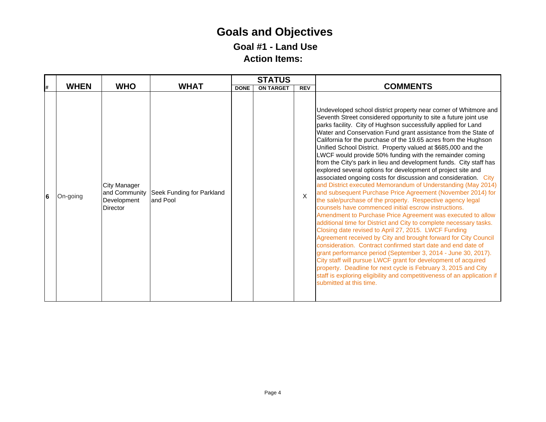## **Goals and Objectives Goal #1 - Land Use Action Items:**

|   |             |                                                                        |                                       |             | <b>STATUS</b>    |            |                                                                                                                                                                                                                                                                                                                                                                                                                                                                                                                                                                                                                                                                                                                                                                                                                                                                                                                                                                                                                                                                                                                                                                                                                                                                                                                                                                                                                                                                                                                                                                                 |
|---|-------------|------------------------------------------------------------------------|---------------------------------------|-------------|------------------|------------|---------------------------------------------------------------------------------------------------------------------------------------------------------------------------------------------------------------------------------------------------------------------------------------------------------------------------------------------------------------------------------------------------------------------------------------------------------------------------------------------------------------------------------------------------------------------------------------------------------------------------------------------------------------------------------------------------------------------------------------------------------------------------------------------------------------------------------------------------------------------------------------------------------------------------------------------------------------------------------------------------------------------------------------------------------------------------------------------------------------------------------------------------------------------------------------------------------------------------------------------------------------------------------------------------------------------------------------------------------------------------------------------------------------------------------------------------------------------------------------------------------------------------------------------------------------------------------|
| # | <b>WHEN</b> | <b>WHO</b>                                                             | <b>WHAT</b>                           | <b>DONE</b> | <b>ON TARGET</b> | <b>REV</b> | <b>COMMENTS</b>                                                                                                                                                                                                                                                                                                                                                                                                                                                                                                                                                                                                                                                                                                                                                                                                                                                                                                                                                                                                                                                                                                                                                                                                                                                                                                                                                                                                                                                                                                                                                                 |
| 6 | On-going    | <b>City Manager</b><br>and Community<br>Development<br><b>Director</b> | Seek Funding for Parkland<br>and Pool |             |                  | X          | Undeveloped school district property near corner of Whitmore and<br>Seventh Street considered opportunity to site a future joint use<br>parks facility. City of Hughson successfully applied for Land<br>Water and Conservation Fund grant assistance from the State of<br>California for the purchase of the 19.65 acres from the Hughson<br>Unified School District. Property valued at \$685,000 and the<br>LWCF would provide 50% funding with the remainder coming<br>from the City's park in lieu and development funds. City staff has<br>explored several options for development of project site and<br>associated ongoing costs for discussion and consideration. City<br>and District executed Memorandum of Understanding (May 2014)<br>and subsequent Purchase Price Agreement (November 2014) for<br>the sale/purchase of the property. Respective agency legal<br>counsels have commenced initial escrow instructions.<br>Amendment to Purchase Price Agreement was executed to allow<br>additional time for District and City to complete necessary tasks.<br>Closing date revised to April 27, 2015. LWCF Funding<br>Agreement received by City and brought forward for City Council<br>consideration. Contract confirmed start date and end date of<br>grant performance period (September 3, 2014 - June 30, 2017).<br>City staff will pursue LWCF grant for development of acquired<br>property. Deadline for next cycle is February 3, 2015 and City<br>staff is exploring eligibility and competitiveness of an application if<br>submitted at this time. |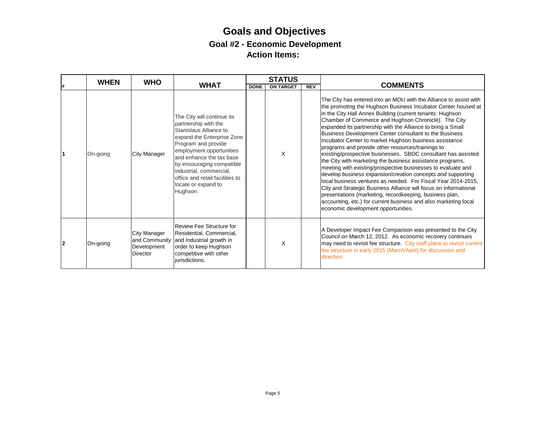|                | <b>WHEN</b> | <b>WHO</b>                                     |                                                                                                                                                                                                                                                                                                                         |             | <b>STATUS</b>    |            |                                                                                                                                                                                                                                                                                                                                                                                                                                                                                                                                                                                                                                                                                                                                                                                                                                                                                                                                                                                                                                                                        |
|----------------|-------------|------------------------------------------------|-------------------------------------------------------------------------------------------------------------------------------------------------------------------------------------------------------------------------------------------------------------------------------------------------------------------------|-------------|------------------|------------|------------------------------------------------------------------------------------------------------------------------------------------------------------------------------------------------------------------------------------------------------------------------------------------------------------------------------------------------------------------------------------------------------------------------------------------------------------------------------------------------------------------------------------------------------------------------------------------------------------------------------------------------------------------------------------------------------------------------------------------------------------------------------------------------------------------------------------------------------------------------------------------------------------------------------------------------------------------------------------------------------------------------------------------------------------------------|
|                |             |                                                | <b>WHAT</b>                                                                                                                                                                                                                                                                                                             | <b>DONE</b> | <b>ON TARGET</b> | <b>REV</b> | <b>COMMENTS</b>                                                                                                                                                                                                                                                                                                                                                                                                                                                                                                                                                                                                                                                                                                                                                                                                                                                                                                                                                                                                                                                        |
| $\overline{1}$ | On-going    | City Manager                                   | The City will continue its<br>partnership with the<br>Stanislaus Alliance to<br>expand the Enterprise Zone<br>Program and provide<br>employment opportunities<br>and enhance the tax base<br>by encouraging compatible<br>industrial, commercial,<br>office and retail facilities to<br>locate or expand to<br>Hughson. |             | X                |            | The City has entered into an MOU with the Alliance to assist with<br>the promoting the Hughson Business Incubator Center housed at<br>in the City Hall Annex Building (current tenants: Hughson<br>Chamber of Commerce and Hughson Chronicle). The City<br>expanded its partnership with the Alliance to bring a Small<br>Business Development Center consultant to the Business<br>Incubator Center to market Hughson business assistance<br>programs and provide other resources/trainings to<br>existing/prospective businesses. SBDC consultant has assisted<br>the City with marketing the business assistance programs,<br>meeting with existing/prospective businesses to evaluate and<br>develop business expansion/creation concepts and supporting<br>local business ventures as needed. For Fiscal Year 2014-2015,<br>City and Strategic Business Alliance will focus on informational<br>presentations (marketing, recordkeeping, business plan,<br>accounting, etc.) for current business and also marketing local<br>economic development opportunities. |
| 2              | On-going    | City Manager<br>Development<br><b>Director</b> | Review Fee Structure for<br>Residential, Commercial,<br>and Community and Industrial growth in<br>order to keep Hughson<br>competitive with other<br>liurisdictions.                                                                                                                                                    |             | X                |            | A Developer Impact Fee Comparison was presented to the City<br>Council on March 12, 2012. As economic recovery continues<br>may need to revisit fee structure. City staff plans to revisit current<br>fee structure in early 2015 (March/April) for discussion and<br>direction.                                                                                                                                                                                                                                                                                                                                                                                                                                                                                                                                                                                                                                                                                                                                                                                       |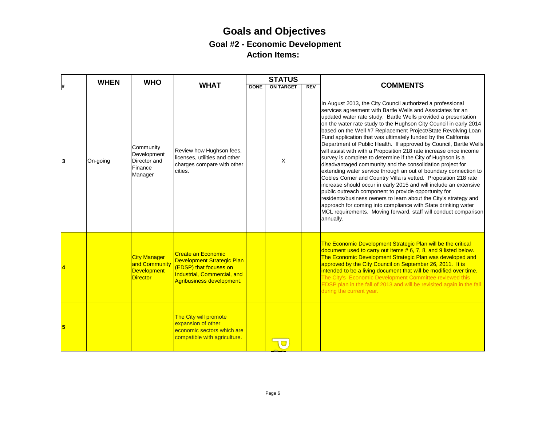|   | <b>WHEN</b> | <b>WHO</b>                                                                    |                                                                                                                                               |             | <b>STATUS</b>    |            |                                                                                                                                                                                                                                                                                                                                                                                                                                                                                                                                                                                                                                                                                                                                                                                                                                                                                                                                                                                                                                                                                                                                                                  |
|---|-------------|-------------------------------------------------------------------------------|-----------------------------------------------------------------------------------------------------------------------------------------------|-------------|------------------|------------|------------------------------------------------------------------------------------------------------------------------------------------------------------------------------------------------------------------------------------------------------------------------------------------------------------------------------------------------------------------------------------------------------------------------------------------------------------------------------------------------------------------------------------------------------------------------------------------------------------------------------------------------------------------------------------------------------------------------------------------------------------------------------------------------------------------------------------------------------------------------------------------------------------------------------------------------------------------------------------------------------------------------------------------------------------------------------------------------------------------------------------------------------------------|
|   |             |                                                                               | <b>WHAT</b>                                                                                                                                   | <b>DONE</b> | <b>ON TARGET</b> | <b>REV</b> | <b>COMMENTS</b>                                                                                                                                                                                                                                                                                                                                                                                                                                                                                                                                                                                                                                                                                                                                                                                                                                                                                                                                                                                                                                                                                                                                                  |
| 3 | On-going    | Community<br>Development<br>Director and<br>Finance<br>Manager                | Review how Hughson fees,<br>licenses, utilities and other<br>charges compare with other<br>cities.                                            |             | $\times$         |            | In August 2013, the City Council authorized a professional<br>services agreement with Bartle Wells and Associates for an<br>updated water rate study. Bartle Wells provided a presentation<br>on the water rate study to the Hughson City Council in early 2014<br>based on the Well #7 Replacement Project/State Revolving Loan<br>Fund application that was ultimately funded by the California<br>Department of Public Health. If approved by Council, Bartle Wells<br>will assist with with a Proposition 218 rate increase once income<br>survey is complete to determine if the City of Hughson is a<br>disadvantaged community and the consolidation project for<br>extending water service through an out of boundary connection to<br>Cobles Corner and Country Villa is vetted. Proposition 218 rate<br>increase should occur in early 2015 and will include an extensive<br>public outreach component to provide opportunity for<br>residents/business owners to learn about the City's strategy and<br>approach for coming into compliance with State drinking water<br>MCL requirements. Moving forward, staff will conduct comparison<br>annually. |
|   |             | <b>City Manager</b><br>and Community<br><b>Development</b><br><b>Director</b> | <b>Create an Economic</b><br>Development Strategic Plan<br>(EDSP) that focuses on<br>Industrial, Commercial, and<br>Agribusiness development. |             |                  |            | The Economic Development Strategic Plan will be the critical<br>document used to carry out items $# 6, 7, 8,$ and 9 listed below.<br>The Economic Development Strategic Plan was developed and<br>approved by the City Council on September 26, 2011. It is<br>intended to be a living document that will be modified over time.<br>The City's Economic Development Committee reviewed this<br>EDSP plan in the fall of 2013 and will be revisited again in the fall<br>during the current year.                                                                                                                                                                                                                                                                                                                                                                                                                                                                                                                                                                                                                                                                 |
| 5 |             |                                                                               | The City will promote<br>expansion of other<br>economic sectors which are<br>compatible with agriculture.                                     |             |                  |            |                                                                                                                                                                                                                                                                                                                                                                                                                                                                                                                                                                                                                                                                                                                                                                                                                                                                                                                                                                                                                                                                                                                                                                  |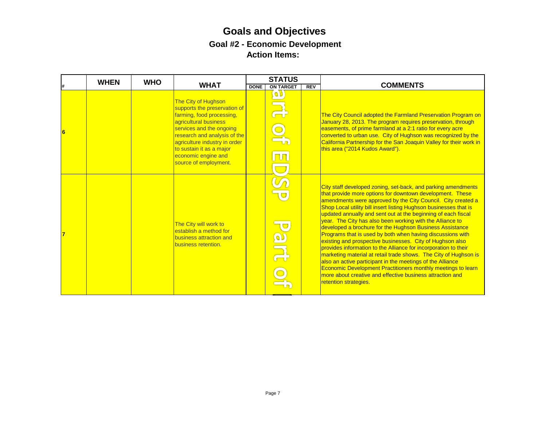|   | <b>WHEN</b> | <b>WHO</b> |                                                                                                                                                                                                                                                                                    |             | <b>STATUS</b>                             |            |                                                                                                                                                                                                                                                                                                                                                                                                                                                                                                                                                                                                                                                                                                                                                                                                                                                                                                                                                 |
|---|-------------|------------|------------------------------------------------------------------------------------------------------------------------------------------------------------------------------------------------------------------------------------------------------------------------------------|-------------|-------------------------------------------|------------|-------------------------------------------------------------------------------------------------------------------------------------------------------------------------------------------------------------------------------------------------------------------------------------------------------------------------------------------------------------------------------------------------------------------------------------------------------------------------------------------------------------------------------------------------------------------------------------------------------------------------------------------------------------------------------------------------------------------------------------------------------------------------------------------------------------------------------------------------------------------------------------------------------------------------------------------------|
|   |             |            | <b>WHAT</b>                                                                                                                                                                                                                                                                        | <b>DONE</b> | <b>ON TARGET</b>                          | <b>REV</b> | <b>COMMENTS</b>                                                                                                                                                                                                                                                                                                                                                                                                                                                                                                                                                                                                                                                                                                                                                                                                                                                                                                                                 |
| 6 |             |            | The City of Hughson<br>supports the preservation of<br>farming, food processing,<br>agricultural business<br>services and the ongoing<br>research and analysis of the<br>agriculture industry in order<br>to sustain it as a major<br>economic engine and<br>source of employment. |             | $\boxed{\mathbf{0}}$<br>$\overline{\Box}$ |            | The City Council adopted the Farmland Preservation Program on<br>January 28, 2013. The program requires preservation, through<br>easements, of prime farmland at a 2:1 ratio for every acre<br>converted to urban use. City of Hughson was recognized by the<br>California Partnership for the San Joaquin Valley for their work in<br>this area ("2014 Kudos Award").                                                                                                                                                                                                                                                                                                                                                                                                                                                                                                                                                                          |
|   |             |            | The City will work to<br>establish a method for<br>business attraction and<br>business retention.                                                                                                                                                                                  |             | <b>artic</b>                              |            | City staff developed zoning, set-back, and parking amendments<br>that provide more options for downtown development. These<br>amendments were approved by the City Council. City created a<br>Shop Local utility bill insert listing Hughson businesses that is<br>updated annually and sent out at the beginning of each fiscal<br>year. The City has also been working with the Alliance to<br>developed a brochure for the Hughson Business Assistance<br>Programs that is used by both when having discussions with<br>existing and prospective businesses. City of Hughson also<br>provides information to the Alliance for incorporation to their<br>marketing material at retail trade shows. The City of Hughson is<br>also an active participant in the meetings of the Alliance<br>Economic Development Practitioners monthly meetings to learn<br>more about creative and effective business attraction and<br>retention strategies. |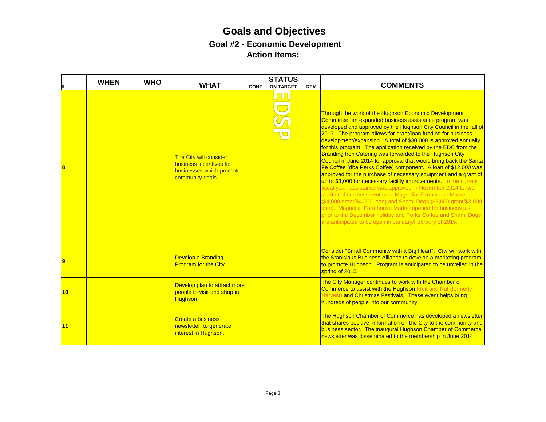|    | <b>WHEN</b> | <b>WHO</b> |                                                                                                   |             | <b>STATUS</b>    |            |                                                                                                                                                                                                                                                                                                                                                                                                                                                                                                                                                                                                                                                                                                                                                                                                                                                                                                                                                                                                                                                                                                                               |
|----|-------------|------------|---------------------------------------------------------------------------------------------------|-------------|------------------|------------|-------------------------------------------------------------------------------------------------------------------------------------------------------------------------------------------------------------------------------------------------------------------------------------------------------------------------------------------------------------------------------------------------------------------------------------------------------------------------------------------------------------------------------------------------------------------------------------------------------------------------------------------------------------------------------------------------------------------------------------------------------------------------------------------------------------------------------------------------------------------------------------------------------------------------------------------------------------------------------------------------------------------------------------------------------------------------------------------------------------------------------|
|    |             |            | <b>WHAT</b>                                                                                       | <b>DONE</b> | <b>ON TARGET</b> | <b>REV</b> | <b>COMMENTS</b>                                                                                                                                                                                                                                                                                                                                                                                                                                                                                                                                                                                                                                                                                                                                                                                                                                                                                                                                                                                                                                                                                                               |
|    |             |            | The City will consider<br>business incentives for<br>businesses which promote<br>community goals. |             | <b>TT</b>        |            | Through the work of the Hughson Economic Development<br>Committee, an expanded business assistance program was<br>developed and approved by the Hughson City Council in the fall of<br>2013. The program allows for grant/loan funding for business<br>development/expansion. A total of \$30,000 is approved annually<br>for this program. The application received by the EDC from the<br>Branding Iron Catering was forwarded to the Hughson City<br>Council in June 2014 for approval that would bring back the Santa<br>Fe Coffee (dba Perks Coffee) component. A loan of \$12,000 was<br>approved for the purchase of necessary equipment and a grant of<br>up to \$3,000 for necessary facility improvements. In the current<br>fiscal year, assistance was approved in November 2014 to two<br>additional business ventures--Magnolia Farmhouse Market<br>(\$4,000 grant/\$4,000 loan) and Shami Dogs (\$3,000 grant/\$3,000<br>Ioan). Magnolia Farmhouse Market opened for business just<br>prior to the December holiday and Perks Coffee and Shami Dogs<br>are anticipated to be open in January/Febraury of 2015. |
|    |             |            | Develop a Branding<br>Program for the City.                                                       |             |                  |            | Consider "Small Community with a Big Heart". City will work with<br>the Stanislaus Business Alliance to develop a marketing program<br>to promote Hughson. Program is anticipated to be unveiled in the<br>spring of 2015.                                                                                                                                                                                                                                                                                                                                                                                                                                                                                                                                                                                                                                                                                                                                                                                                                                                                                                    |
| 10 |             |            | Develop plan to attract more<br>people to visit and shop in<br><b>Hughson</b>                     |             |                  |            | The City Manager continues to work with the Chamber of<br>Commerce to assist with the Hughson Fruit and Nut (formerly<br>Harvest) and Christmas Festivals. These event helps bring<br>hundreds of people into our community.                                                                                                                                                                                                                                                                                                                                                                                                                                                                                                                                                                                                                                                                                                                                                                                                                                                                                                  |
| 11 |             |            | Create a business<br>newsletter to generate<br>interest in Hughson.                               |             |                  |            | The Hughson Chamber of Commerce has developed a newsletter<br>that shares positive information on the City to the community and<br>business sector. The inaugural Hughson Chamber of Commerce<br>newsletter was disseminated to the membership in June 2014.                                                                                                                                                                                                                                                                                                                                                                                                                                                                                                                                                                                                                                                                                                                                                                                                                                                                  |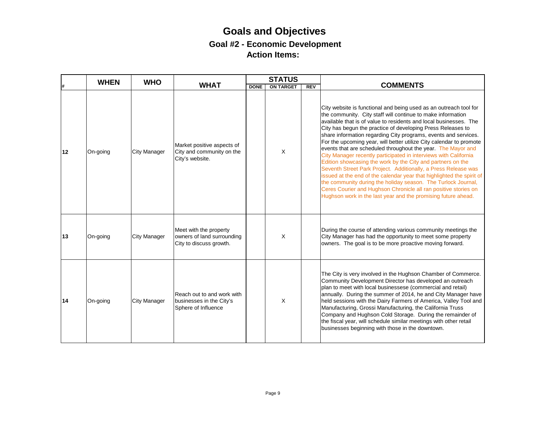|    | <b>WHEN</b> | <b>WHO</b>          |                                                                                 |             | <b>STATUS</b>    |            |                                                                                                                                                                                                                                                                                                                                                                                                                                                                                                                                                                                                                                                                                                                                                                                                                                                                                                                                                                   |
|----|-------------|---------------------|---------------------------------------------------------------------------------|-------------|------------------|------------|-------------------------------------------------------------------------------------------------------------------------------------------------------------------------------------------------------------------------------------------------------------------------------------------------------------------------------------------------------------------------------------------------------------------------------------------------------------------------------------------------------------------------------------------------------------------------------------------------------------------------------------------------------------------------------------------------------------------------------------------------------------------------------------------------------------------------------------------------------------------------------------------------------------------------------------------------------------------|
|    |             |                     | <b>WHAT</b>                                                                     | <b>DONE</b> | <b>ON TARGET</b> | <b>REV</b> | <b>COMMENTS</b>                                                                                                                                                                                                                                                                                                                                                                                                                                                                                                                                                                                                                                                                                                                                                                                                                                                                                                                                                   |
| 12 | On-going    | <b>City Manager</b> | Market positive aspects of<br>City and community on the<br>City's website.      |             | X                |            | City website is functional and being used as an outreach tool for<br>the community. City staff will continue to make information<br>available that is of value to residents and local businesses. The<br>City has begun the practice of developing Press Releases to<br>share information regarding City programs, events and services.<br>For the upcoming year, will better utilize City calendar to promote<br>events that are scheduled throughout the year. The Mayor and<br>City Manager recently participated in interviews with California<br>Edition showcasing the work by the City and partners on the<br>Seventh Street Park Project. Additionally, a Press Release was<br>issued at the end of the calendar year that highlighted the spirit of<br>the community during the holiday season. The Turlock Journal,<br>Ceres Courier and Hughson Chronicle all ran positive stories on<br>Hughson work in the last year and the promising future ahead. |
| 13 | On-going    | <b>City Manager</b> | Meet with the property<br>owners of land surrounding<br>City to discuss growth. |             | X                |            | During the course of attending various community meetings the<br>City Manager has had the opportunity to meet some property<br>owners. The goal is to be more proactive moving forward.                                                                                                                                                                                                                                                                                                                                                                                                                                                                                                                                                                                                                                                                                                                                                                           |
| 14 | On-going    | <b>City Manager</b> | Reach out to and work with<br>businesses in the City's<br>Sphere of Influence   |             | X                |            | The City is very involved in the Hughson Chamber of Commerce.<br>Community Development Director has developed an outreach<br>plan to meet with local businessese (commercial and retail)<br>annually. During the summer of 2014, he and City Manager have<br>held sessions with the Dairy Farmers of America, Valley Tool and<br>Manufacturing, Grossi Manufacturing, the California Truss<br>Company and Hughson Cold Storage. During the remainder of<br>the fiscal year, will schedule similar meetings with other retail<br>businesses beginning with those in the downtown.                                                                                                                                                                                                                                                                                                                                                                                  |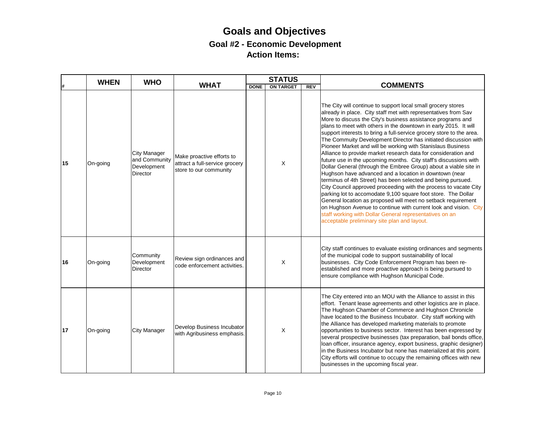|    | <b>WHEN</b> | <b>WHO</b>                                                             |                                                                                       |             | <b>STATUS</b>    |            |                                                                                                                                                                                                                                                                                                                                                                                                                                                                                                                                                                                                                                                                                                                                                                                                                                                                                                                                                                                                                                                                                                                                                                                                      |
|----|-------------|------------------------------------------------------------------------|---------------------------------------------------------------------------------------|-------------|------------------|------------|------------------------------------------------------------------------------------------------------------------------------------------------------------------------------------------------------------------------------------------------------------------------------------------------------------------------------------------------------------------------------------------------------------------------------------------------------------------------------------------------------------------------------------------------------------------------------------------------------------------------------------------------------------------------------------------------------------------------------------------------------------------------------------------------------------------------------------------------------------------------------------------------------------------------------------------------------------------------------------------------------------------------------------------------------------------------------------------------------------------------------------------------------------------------------------------------------|
|    |             |                                                                        | <b>WHAT</b>                                                                           | <b>DONE</b> | <b>ON TARGET</b> | <b>REV</b> | <b>COMMENTS</b>                                                                                                                                                                                                                                                                                                                                                                                                                                                                                                                                                                                                                                                                                                                                                                                                                                                                                                                                                                                                                                                                                                                                                                                      |
| 15 | On-going    | <b>City Manager</b><br>and Community<br>Development<br><b>Director</b> | Make proactive efforts to<br>attract a full-service grocery<br>store to our community |             | X                |            | The City will continue to support local small grocery stores<br>already in place. City staff met with representatives from Sav<br>More to discuss the City's business assistance programs and<br>plans to meet with others in the downtown in early 2015. It will<br>support interests to bring a full-service grocery store to the area.<br>The Commuity Development Director has initiated discussion with<br>Pioneer Market and will be working with Stanislaus Business<br>Alliance to provide market research data for consideration and<br>future use in the upcoming months. City staff's discussions with<br>Dollar General (through the Embree Group) about a viable site in<br>Hughson have advanced and a location in downtown (near<br>terminus of 4th Street) has been selected and being pursued.<br>City Council approved proceeding with the process to vacate City<br>parking lot to accomodate 9,100 square foot store. The Dollar<br>General location as proposed will meet no setback requirement<br>on Hughson Avenue to continue with current look and vision. City<br>staff working with Dollar General representatives on an<br>acceptable preliminary site plan and layout. |
| 16 | On-going    | Community<br>Development<br><b>Director</b>                            | Review sign ordinances and<br>code enforcement activities.                            |             | X                |            | City staff continues to evaluate existing ordinances and segments<br>of the municipal code to support sustainability of local<br>businesses. City Code Enforcement Program has been re-<br>established and more proactive approach is being pursued to<br>ensure compliance with Hughson Municipal Code.                                                                                                                                                                                                                                                                                                                                                                                                                                                                                                                                                                                                                                                                                                                                                                                                                                                                                             |
| 17 | On-going    | <b>City Manager</b>                                                    | Develop Business Incubator<br>with Agribusiness emphasis.                             |             | X                |            | The City entered into an MOU with the Alliance to assist in this<br>effort. Tenant lease agreements and other logistics are in place.<br>The Hughson Chamber of Commerce and Hughson Chronicle<br>have located to the Business Incubator. City staff working with<br>the Alliance has developed marketing materials to promote<br>opportunities to business sector. Interest has been expressed by<br>several prospective businesses (tax preparation, bail bonds office,<br>loan officer, insurance agency, export business, graphic designer)<br>in the Business Incubator but none has materialized at this point.<br>City efforts will continue to occupy the remaining offices with new<br>businesses in the upcoming fiscal year.                                                                                                                                                                                                                                                                                                                                                                                                                                                              |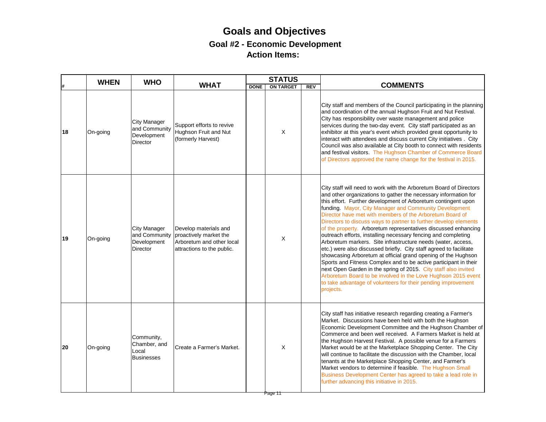|    | <b>WHEN</b> | <b>WHO</b>                                                             |                                                                                                            |             | <b>STATUS</b>    |            |                                                                                                                                                                                                                                                                                                                                                                                                                                                                                                                                                                                                                                                                                                                                                                                                                                                                                                                                                                                                                                  |
|----|-------------|------------------------------------------------------------------------|------------------------------------------------------------------------------------------------------------|-------------|------------------|------------|----------------------------------------------------------------------------------------------------------------------------------------------------------------------------------------------------------------------------------------------------------------------------------------------------------------------------------------------------------------------------------------------------------------------------------------------------------------------------------------------------------------------------------------------------------------------------------------------------------------------------------------------------------------------------------------------------------------------------------------------------------------------------------------------------------------------------------------------------------------------------------------------------------------------------------------------------------------------------------------------------------------------------------|
|    |             |                                                                        | <b>WHAT</b>                                                                                                | <b>DONE</b> | <b>ON TARGET</b> | <b>REV</b> | <b>COMMENTS</b>                                                                                                                                                                                                                                                                                                                                                                                                                                                                                                                                                                                                                                                                                                                                                                                                                                                                                                                                                                                                                  |
| 18 | On-going    | <b>City Manager</b><br>and Community<br>Development<br><b>Director</b> | Support efforts to revive<br>Hughson Fruit and Nut<br>(formerly Harvest)                                   |             | X                |            | City staff and members of the Council participating in the planning<br>and coordination of the annual Hughson Fruit and Nut Festival.<br>City has responsibility over waste management and police<br>services during the two-day event. City staff participated as an<br>exhibitor at this year's event which provided great opportunity to<br>interact with attendees and discuss current City initiatives . City<br>Council was also available at City booth to connect with residents<br>and festival visitors. The Hughson Chamber of Commerce Board<br>of Directors approved the name change for the festival in 2015.                                                                                                                                                                                                                                                                                                                                                                                                      |
| 19 | On-going    | <b>City Manager</b><br>and Community<br>Development<br><b>Director</b> | Develop materials and<br>proactively market the<br>Arboretum and other local<br>attractions to the public. |             | X                |            | City staff will need to work with the Arboretum Board of Directors<br>and other organizations to gather the necessary information for<br>this effort. Further development of Arboretum contingent upon<br>funding. Mayor, City Manager and Community Development<br>Director have met with members of the Arboretum Board of<br>Directors to discuss ways to partner to further develop elements<br>of the property. Arboretum representatives discussed enhancing<br>outreach efforts, installing necessary fencing and completing<br>Arboretum markers. Site infrastructure needs (water, access,<br>etc.) were also discussed briefly. City staff agreed to facilitate<br>showcasing Arboretum at official grand opening of the Hughson<br>Sports and Fitness Complex and to be active participant in their<br>next Open Garden in the spring of 2015. City staff also invited<br>Arboretum Board to be involved in the Love Hughson 2015 event<br>to take advantage of volunteers for their pending improvement<br>projects. |
| 20 | On-going    | Community,<br>Chamber, and<br>Local<br><b>Businesses</b>               | Create a Farmer's Market.                                                                                  |             | X<br>Page 11     |            | City staff has initiative research regarding creating a Farmer's<br>Market. Discussions have been held with both the Hughson<br>Economic Development Committee and the Hughson Chamber of<br>Commerce and been well received. A Farmers Market is held at<br>the Hughson Harvest Festival. A possible venue for a Farmers<br>Market would be at the Marketplace Shopping Center. The City<br>will continue to facilitate the discussion with the Chamber, local<br>tenants at the Marketplace Shopping Center, and Farmer's<br>Market vendors to determine if feasible. The Hughson Small<br>Business Development Center has agreed to take a lead role in<br>further advancing this initiative in 2015.                                                                                                                                                                                                                                                                                                                         |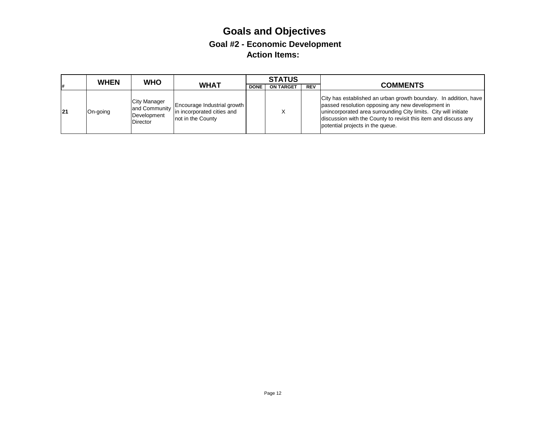|    | <b>WHEN</b> | <b>WHO</b>                                     |                                                                                             |             | <b>STATUS</b>    |            |                                                                                                                                                                                                                                                                                                 |
|----|-------------|------------------------------------------------|---------------------------------------------------------------------------------------------|-------------|------------------|------------|-------------------------------------------------------------------------------------------------------------------------------------------------------------------------------------------------------------------------------------------------------------------------------------------------|
| 1# |             |                                                | <b>WHAT</b>                                                                                 | <b>DONE</b> | <b>ON TARGET</b> | <b>REV</b> | <b>COMMENTS</b>                                                                                                                                                                                                                                                                                 |
| 21 | On-going    | City Manager<br>Development<br><b>Director</b> | and Community<br>and Community<br>neurology in incorporated cities and<br>not in the County |             |                  |            | City has established an urban growth boundary. In addition, have<br>passed resolution opposing any new development in<br>unincorporated area surrounding City limits. City will initiate<br>discussion with the County to revisit this item and discuss any<br>potential projects in the queue. |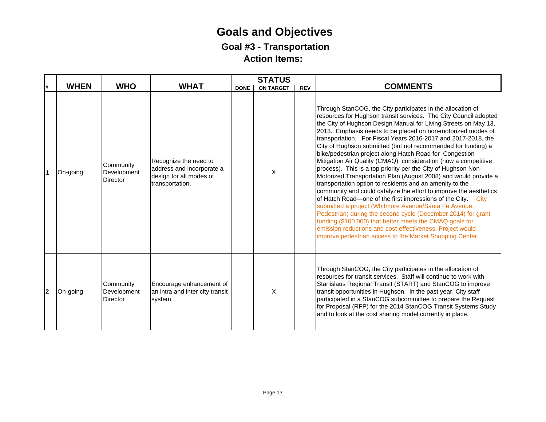### **Goals and Objectives Goal #3 - Transportation Action Items:**

|    |             |                                             |                                                                                                  |             | <b>STATUS</b>    |            |                                                                                                                                                                                                                                                                                                                                                                                                                                                                                                                                                                                                                                                                                                                                                                                                                                                                                                                                                                                                                                                                                                                                                                                        |
|----|-------------|---------------------------------------------|--------------------------------------------------------------------------------------------------|-------------|------------------|------------|----------------------------------------------------------------------------------------------------------------------------------------------------------------------------------------------------------------------------------------------------------------------------------------------------------------------------------------------------------------------------------------------------------------------------------------------------------------------------------------------------------------------------------------------------------------------------------------------------------------------------------------------------------------------------------------------------------------------------------------------------------------------------------------------------------------------------------------------------------------------------------------------------------------------------------------------------------------------------------------------------------------------------------------------------------------------------------------------------------------------------------------------------------------------------------------|
| Ħ. | <b>WHEN</b> | <b>WHO</b>                                  | <b>WHAT</b>                                                                                      | <b>DONE</b> | <b>ON TARGET</b> | <b>REV</b> | <b>COMMENTS</b>                                                                                                                                                                                                                                                                                                                                                                                                                                                                                                                                                                                                                                                                                                                                                                                                                                                                                                                                                                                                                                                                                                                                                                        |
|    | On-going    | Community<br>Development<br>Director        | Recognize the need to<br>address and incorporate a<br>design for all modes of<br>transportation. |             | X                |            | Through StanCOG, the City participates in the allocation of<br>resources for Hughson transit services. The City Council adopted<br>the City of Hughson Design Manual for Living Streets on May 13,<br>2013. Emphasis needs to be placed on non-motorized modes of<br>transportation. For Fiscal Years 2016-2017 and 2017-2018, the<br>City of Hughson submitted (but not recommended for funding) a<br>bike/pedestrian project along Hatch Road for Congestion<br>Mitigation Air Quality (CMAQ) consideration (now a competitive<br>process). This is a top priority per the City of Hughson Non-<br>Motorized Transportation Plan (August 2008) and would provide a<br>transportation option to residents and an amenity to the<br>community and could catalyze the effort to improve the aesthetics<br>of Hatch Road-one of the first impressions of the City.<br>City<br>submitted a project (Whitmore Avenue/Santa Fe Avenue<br>Pedestrian) during the second cycle (December 2014) for grant<br>funding (\$100,000) that better meets the CMAQ goals for<br>emission reductions and cost-effectiveness. Project would<br>improve pedestrian access to the Market Shopping Center. |
| 2  | On-going    | Community<br>Development<br><b>Director</b> | Encourage enhancement of<br>an intra and inter city transit<br>system.                           |             | X                |            | Through StanCOG, the City participates in the allocation of<br>resources for transit services. Staff will continue to work with<br>Stanislaus Regional Transit (START) and StanCOG to improve<br>transit opportunities in Hughson. In the past year, City staff<br>participated in a StanCOG subcommittee to prepare the Request<br>for Proposal (RFP) for the 2014 StanCOG Transit Systems Study<br>and to look at the cost sharing model currently in place.                                                                                                                                                                                                                                                                                                                                                                                                                                                                                                                                                                                                                                                                                                                         |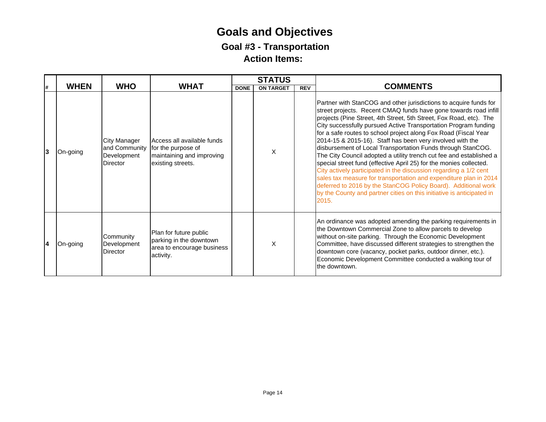### **Goals and Objectives Goal #3 - Transportation Action Items:**

|    |   |             |                                                                        |                                                                                                    |             | <b>STATUS</b>    |            |                                                                                                                                                                                                                                                                                                                                                                                                                                                                                                                                                                                                                                                                                                                                                                                                                                                                                                                          |
|----|---|-------------|------------------------------------------------------------------------|----------------------------------------------------------------------------------------------------|-------------|------------------|------------|--------------------------------------------------------------------------------------------------------------------------------------------------------------------------------------------------------------------------------------------------------------------------------------------------------------------------------------------------------------------------------------------------------------------------------------------------------------------------------------------------------------------------------------------------------------------------------------------------------------------------------------------------------------------------------------------------------------------------------------------------------------------------------------------------------------------------------------------------------------------------------------------------------------------------|
| l# |   | <b>WHEN</b> | <b>WHO</b>                                                             | <b>WHAT</b>                                                                                        | <b>DONE</b> | <b>ON TARGET</b> | <b>REV</b> | <b>COMMENTS</b>                                                                                                                                                                                                                                                                                                                                                                                                                                                                                                                                                                                                                                                                                                                                                                                                                                                                                                          |
|    | 3 | On-going    | <b>City Manager</b><br>and Community<br>Development<br><b>Director</b> | Access all available funds<br>for the purpose of<br>maintaining and improving<br>existing streets. |             | X                |            | Partner with StanCOG and other jurisdictions to acquire funds for<br>street projects. Recent CMAQ funds have gone towards road infill<br>projects (Pine Street, 4th Street, 5th Street, Fox Road, etc). The<br>City successfully pursued Active Transportation Program funding<br>for a safe routes to school project along Fox Road (Fiscal Year<br>2014-15 & 2015-16). Staff has been very involved with the<br>disbursement of Local Transportation Funds through StanCOG.<br>The City Council adopted a utility trench cut fee and established a<br>special street fund (effective April 25) for the monies collected.<br>City actively participated in the discussion regarding a 1/2 cent<br>sales tax measure for transportation and expenditure plan in 2014<br>deferred to 2016 by the StanCOG Policy Board). Additional work<br>by the County and partner cities on this initiative is anticipated in<br>2015. |
|    | 4 | On-going    | Community<br>Development<br><b>Director</b>                            | Plan for future public<br>parking in the downtown<br>area to encourage business<br>activity.       |             | X                |            | An ordinance was adopted amending the parking requirements in<br>the Downtown Commercial Zone to allow parcels to develop<br>without on-site parking. Through the Economic Development<br>Committee, have discussed different strategies to strengthen the<br>downtown core (vacancy, pocket parks, outdoor dinner, etc.).<br>Economic Development Committee conducted a walking tour of<br>the downtown.                                                                                                                                                                                                                                                                                                                                                                                                                                                                                                                |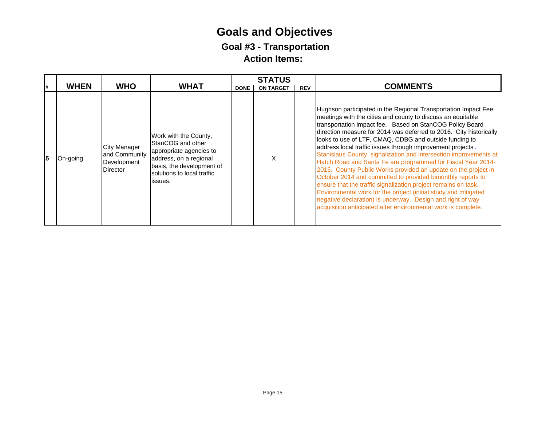### **Goals and Objectives Goal #3 - Transportation Action Items:**

|    |             |                                                                        |                                                                                                                                                                       |             | <b>STATUS</b>    |            |                                                                                                                                                                                                                                                                                                                                                                                                                                                                                                                                                                                                                                                                                                                                                                                                                                                                                                                                  |
|----|-------------|------------------------------------------------------------------------|-----------------------------------------------------------------------------------------------------------------------------------------------------------------------|-------------|------------------|------------|----------------------------------------------------------------------------------------------------------------------------------------------------------------------------------------------------------------------------------------------------------------------------------------------------------------------------------------------------------------------------------------------------------------------------------------------------------------------------------------------------------------------------------------------------------------------------------------------------------------------------------------------------------------------------------------------------------------------------------------------------------------------------------------------------------------------------------------------------------------------------------------------------------------------------------|
| l# | <b>WHEN</b> | <b>WHO</b>                                                             | <b>WHAT</b>                                                                                                                                                           | <b>DONE</b> | <b>ON TARGET</b> | <b>REV</b> | <b>COMMENTS</b>                                                                                                                                                                                                                                                                                                                                                                                                                                                                                                                                                                                                                                                                                                                                                                                                                                                                                                                  |
| 15 | On-going    | <b>City Manager</b><br>and Community<br>Development<br><b>Director</b> | Work with the County,<br>StanCOG and other<br>appropriate agencies to<br>address, on a regional<br>basis, the development of<br>solutions to local traffic<br>issues. |             |                  |            | Hughson participated in the Regional Transportation Impact Fee<br>meetings with the cities and county to discuss an equitable<br>transportation impact fee. Based on StanCOG Policy Board<br>direction measure for 2014 was deferred to 2016. City historically<br>looks to use of LTF, CMAQ, CDBG and outside funding to<br>address local traffic issues through improvement projects.<br>Stanislaus County signalization and intersection improvements at<br>Hatch Road and Santa Fe are programmed for Fiscal Year 2014-<br>2015. County Public Works provided an update on the project in<br>October 2014 and committed to provided bimonthly reports to<br>ensure that the traffic signalization project remains on task.<br>Environmental work for the project (initial study and mitigated<br>negative declaration) is underway. Design and right of way<br>acquisition anticipated after environmental work is complete. |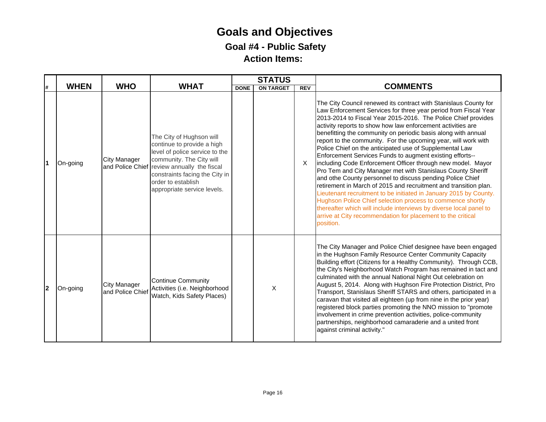### **Goals and Objectives Goal #4 - Public Safety Action Items:**

| Ħ. | <b>WHEN</b> | <b>WHO</b>                       | <b>WHAT</b>                                                                                                                                                                                                                                                | <b>DONE</b> | <b>STATUS</b><br><b>ON TARGET</b> | REV      | <b>COMMENTS</b>                                                                                                                                                                                                                                                                                                                                                                                                                                                                                                                                                                                                                                                                                                                                                                                                                                                                                                                                                                                                                                                                   |
|----|-------------|----------------------------------|------------------------------------------------------------------------------------------------------------------------------------------------------------------------------------------------------------------------------------------------------------|-------------|-----------------------------------|----------|-----------------------------------------------------------------------------------------------------------------------------------------------------------------------------------------------------------------------------------------------------------------------------------------------------------------------------------------------------------------------------------------------------------------------------------------------------------------------------------------------------------------------------------------------------------------------------------------------------------------------------------------------------------------------------------------------------------------------------------------------------------------------------------------------------------------------------------------------------------------------------------------------------------------------------------------------------------------------------------------------------------------------------------------------------------------------------------|
| Ι1 | On-going    | <b>City Manager</b>              | The City of Hughson will<br>continue to provide a high<br>level of police service to the<br>community. The City will<br>and Police Chief review annually the fiscal<br>constraints facing the City in<br>order to establish<br>appropriate service levels. |             |                                   | $\times$ | The City Council renewed its contract with Stanislaus County for<br>Law Enforcement Services for three year period from Fiscal Year<br>2013-2014 to Fiscal Year 2015-2016. The Police Chief provides<br>activity reports to show how law enforcement activities are<br>benefitting the community on periodic basis along with annual<br>report to the community. For the upcoming year, will work with<br>Police Chief on the anticipated use of Supplemental Law<br>Enforcement Services Funds to augment existing efforts--<br>including Code Enforcement Officer through new model. Mayor<br>Pro Tem and City Manager met with Stanislaus County Sheriff<br>and othe County personnel to discuss pending Police Chief<br>retirement in March of 2015 and recruitment and transition plan.<br>Lieutenant recruitment to be initiated in January 2015 by County.<br>Hughson Police Chief selection process to commence shortly<br>thereafter which will include interviews by diverse local panel to<br>arrive at City recommendation for placement to the critical<br>position. |
| 2  | On-going    | City Manager<br>and Police Chief | <b>Continue Community</b><br>Activities (i.e. Neighborhood<br>Watch, Kids Safety Places)                                                                                                                                                                   |             | X                                 |          | The City Manager and Police Chief designee have been engaged<br>in the Hughson Family Resource Center Community Capacity<br>Building effort (Citizens for a Healthy Community). Through CCB,<br>the City's Neighborhood Watch Program has remained in tact and<br>culminated with the annual National Night Out celebration on<br>August 5, 2014. Along with Hughson Fire Protection District, Pro<br>Transport, Stanislaus Sheriff STARS and others, participated in a<br>caravan that visited all eighteen (up from nine in the prior year)<br>registered block parties promoting the NNO mission to "promote<br>involvement in crime prevention activities, police-community<br>partnerships, neighborhood camaraderie and a united front<br>against criminal activity."                                                                                                                                                                                                                                                                                                       |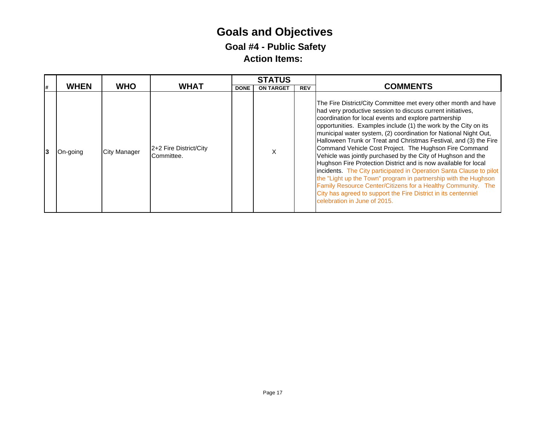## **Goals and Objectives Goal #4 - Public Safety Action Items:**

|    |             |                     |                                      |             | <b>STATUS</b>    |            |                                                                                                                                                                                                                                                                                                                                                                                                                                                                                                                                                                                                                                                                                                                                                                                                                                                                                                              |
|----|-------------|---------------------|--------------------------------------|-------------|------------------|------------|--------------------------------------------------------------------------------------------------------------------------------------------------------------------------------------------------------------------------------------------------------------------------------------------------------------------------------------------------------------------------------------------------------------------------------------------------------------------------------------------------------------------------------------------------------------------------------------------------------------------------------------------------------------------------------------------------------------------------------------------------------------------------------------------------------------------------------------------------------------------------------------------------------------|
| l# | <b>WHEN</b> | <b>WHO</b>          | <b>WHAT</b>                          | <b>DONE</b> | <b>ON TARGET</b> | <b>REV</b> | <b>COMMENTS</b>                                                                                                                                                                                                                                                                                                                                                                                                                                                                                                                                                                                                                                                                                                                                                                                                                                                                                              |
| 13 | On-going    | <b>City Manager</b> | 2+2 Fire District/City<br>Committee. |             | x                |            | The Fire District/City Committee met every other month and have<br>had very productive session to discuss current initiatives,<br>coordination for local events and explore partnership<br>opportunities. Examples include (1) the work by the City on its<br>municipal water system, (2) coordination for National Night Out,<br>Halloween Trunk or Treat and Christmas Festival, and (3) the Fire<br>Command Vehicle Cost Project. The Hughson Fire Command<br>Vehicle was jointly purchased by the City of Hughson and the<br>Hughson Fire Protection District and is now available for local<br>incidents. The City participated in Operation Santa Clause to pilot<br>the "Light up the Town" program in partnership with the Hughson<br>Family Resource Center/Citizens for a Healthy Community. The<br>City has agreed to support the Fire District in its centenniel<br>celebration in June of 2015. |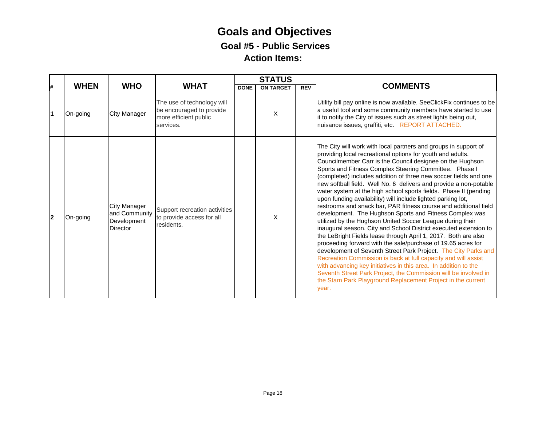|    |             |                                                                 |                                                                                              |             | <b>STATUS</b>    |            |                                                                                                                                                                                                                                                                                                                                                                                                                                                                                                                                                                                                                                                                                                                                                                                                                                                                                                                                                                                                                                                                                                                                                                                                                                                                                        |
|----|-------------|-----------------------------------------------------------------|----------------------------------------------------------------------------------------------|-------------|------------------|------------|----------------------------------------------------------------------------------------------------------------------------------------------------------------------------------------------------------------------------------------------------------------------------------------------------------------------------------------------------------------------------------------------------------------------------------------------------------------------------------------------------------------------------------------------------------------------------------------------------------------------------------------------------------------------------------------------------------------------------------------------------------------------------------------------------------------------------------------------------------------------------------------------------------------------------------------------------------------------------------------------------------------------------------------------------------------------------------------------------------------------------------------------------------------------------------------------------------------------------------------------------------------------------------------|
|    | <b>WHEN</b> | <b>WHO</b>                                                      | <b>WHAT</b>                                                                                  | <b>DONE</b> | <b>ON TARGET</b> | <b>REV</b> | <b>COMMENTS</b>                                                                                                                                                                                                                                                                                                                                                                                                                                                                                                                                                                                                                                                                                                                                                                                                                                                                                                                                                                                                                                                                                                                                                                                                                                                                        |
|    | On-going    | <b>City Manager</b>                                             | The use of technology will<br>be encouraged to provide<br>more efficient public<br>services. |             | X                |            | Utility bill pay online is now available. SeeClickFix continues to be<br>a useful tool and some community members have started to use<br>it to notify the City of issues such as street lights being out,<br>nuisance issues, graffiti, etc. REPORT ATTACHED.                                                                                                                                                                                                                                                                                                                                                                                                                                                                                                                                                                                                                                                                                                                                                                                                                                                                                                                                                                                                                          |
| 12 | On-going    | <b>City Manager</b><br>and Community<br>Development<br>Director | Support recreation activities<br>to provide access for all<br>residents.                     |             | X                |            | The City will work with local partners and groups in support of<br>providing local recreational options for youth and adults.<br>Councilmember Carr is the Council designee on the Hughson<br>Sports and Fitness Complex Steering Committee. Phase I<br>(completed) includes addition of three new soccer fields and one<br>new softball field. Well No. 6 delivers and provide a non-potable<br>water system at the high school sports fields. Phase II (pending<br>upon funding availability) will include lighted parking lot,<br>restrooms and snack bar, PAR fitness course and additional field<br>development. The Hughson Sports and Fitness Complex was<br>utilized by the Hughson United Soccer League during their<br>inaugural season. City and School District executed extension to<br>the LeBright Fields lease through April 1, 2017. Both are also<br>proceeding forward with the sale/purchase of 19.65 acres for<br>development of Seventh Street Park Project. The City Parks and<br>Recreation Commission is back at full capacity and will assist<br>with advancing key initiatives in this area. In addition to the<br>Seventh Street Park Project, the Commission will be involved in<br>the Starn Park Playground Replacement Project in the current<br>vear. |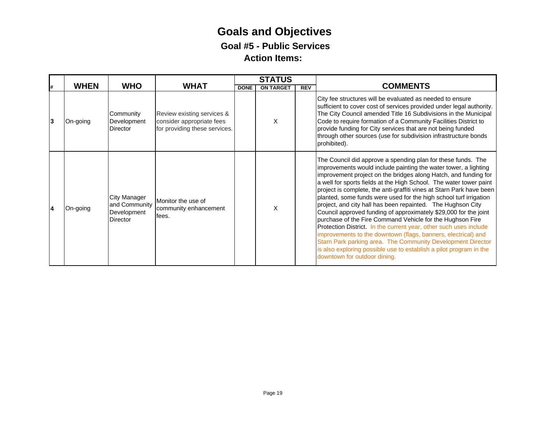|    |             |                                                                        |                                                                                          |             | <b>STATUS</b>    |            |                                                                                                                                                                                                                                                                                                                                                                                                                                                                                                                                                                                                                                                                                                                                                                                                                                                                                                                                  |
|----|-------------|------------------------------------------------------------------------|------------------------------------------------------------------------------------------|-------------|------------------|------------|----------------------------------------------------------------------------------------------------------------------------------------------------------------------------------------------------------------------------------------------------------------------------------------------------------------------------------------------------------------------------------------------------------------------------------------------------------------------------------------------------------------------------------------------------------------------------------------------------------------------------------------------------------------------------------------------------------------------------------------------------------------------------------------------------------------------------------------------------------------------------------------------------------------------------------|
| l# | <b>WHEN</b> | <b>WHO</b>                                                             | <b>WHAT</b>                                                                              | <b>DONE</b> | <b>ON TARGET</b> | <b>REV</b> | <b>COMMENTS</b>                                                                                                                                                                                                                                                                                                                                                                                                                                                                                                                                                                                                                                                                                                                                                                                                                                                                                                                  |
| 13 | On-going    | Community<br>Development<br>Director                                   | Review existing services &<br>consider appropriate fees<br>for providing these services. |             | X                |            | City fee structures will be evaluated as needed to ensure<br>sufficient to cover cost of services provided under legal authority.<br>The City Council amended Title 16 Subdivisions in the Municipal<br>Code to require formation of a Community Facilities District to<br>provide funding for City services that are not being funded<br>through other sources (use for subdivision infrastructure bonds<br>prohibited).                                                                                                                                                                                                                                                                                                                                                                                                                                                                                                        |
| 14 | On-going    | <b>City Manager</b><br>and Community<br>Development<br><b>Director</b> | Monitor the use of<br>community enhancement<br>fees.                                     |             | X                |            | The Council did approve a spending plan for these funds. The<br>improvements would include painting the water tower, a lighting<br>improvement project on the bridges along Hatch, and funding for<br>a well for sports fields at the High School. The water tower paint<br>project is complete, the anti-graffiti vines at Starn Park have been<br>planted, some funds were used for the high school turf irrigation<br>project, and city hall has been repainted. The Hughson City<br>Council approved funding of approximately \$29,000 for the joint<br>purchase of the Fire Command Vehicle for the Hughson Fire<br>Protection District. In the current year, other such uses include<br>improvements to the downtown (flags, banners, electrical) and<br>Starn Park parking area. The Community Development Director<br>is also exploring possible use to establish a pilot program in the<br>downtown for outdoor dining. |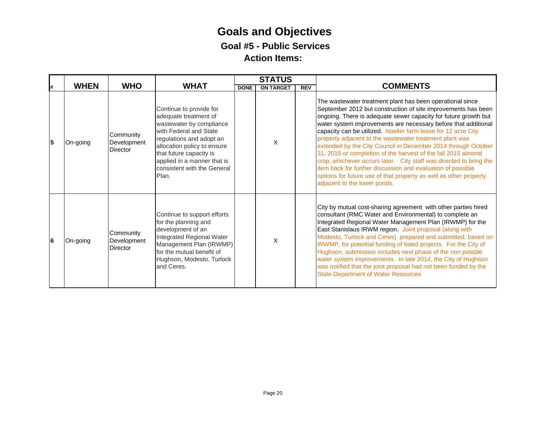|    |             |                                             |                                                                                                                                                                                                                                                                     |             | <b>STATUS</b>    |            |                                                                                                                                                                                                                                                                                                                                                                                                                                                                                                                                                                                                                                                                                                                                                                         |
|----|-------------|---------------------------------------------|---------------------------------------------------------------------------------------------------------------------------------------------------------------------------------------------------------------------------------------------------------------------|-------------|------------------|------------|-------------------------------------------------------------------------------------------------------------------------------------------------------------------------------------------------------------------------------------------------------------------------------------------------------------------------------------------------------------------------------------------------------------------------------------------------------------------------------------------------------------------------------------------------------------------------------------------------------------------------------------------------------------------------------------------------------------------------------------------------------------------------|
| l# | <b>WHEN</b> | <b>WHO</b>                                  | <b>WHAT</b>                                                                                                                                                                                                                                                         | <b>DONE</b> | <b>ON TARGET</b> | <b>REV</b> | <b>COMMENTS</b>                                                                                                                                                                                                                                                                                                                                                                                                                                                                                                                                                                                                                                                                                                                                                         |
| 5  | On-going    | Community<br>Development<br><b>Director</b> | Continue to provide for<br>adequate treatment of<br>wastewater by compliance<br>with Federal and State<br>regulations and adopt an<br>allocation policy to ensure<br>that future capacity is<br>applied in a manner that is<br>consistent with the General<br>Plan. |             | X                |            | The wastewater treatment plant has been operational since<br>September 2012 but construction of site improvements has been<br>ongoing. There is adequate sewer capacity for future growth but<br>water system improvements are necessary before that additional<br>capacity can be utilized. Noeller farm lease for 12 acre City<br>property adjacent to the wastewater treatment plant was<br>extended by the City Council in December 2014 through October<br>31, 2015 or completion of the harvest of the fall 2015 almond<br>crop, whichever occurs later. City staff was directed to bring the<br>item back for further discussion and evaluation of possible<br>options for future use of that property as well as other property<br>adjacent to the lower ponds. |
| 6  | On-going    | Community<br>Development<br><b>Director</b> | Continue to support efforts<br>for the planning and<br>development of an<br>Integrated Regional Water<br>Management Plan (IRWMP)<br>for the mutual benefit of<br>Hughson, Modesto, Turlock<br>and Ceres.                                                            |             | X                |            | City by mutual cost-sharing agreement with other parties hired<br>consultant (RMC Water and Environmental) to complete an<br>Integrated Regional Water Management Plan (IRWMP) for the<br>East Stanislaus IRWM region. Joint proposal (along with<br>Modesto, Turlock and Ceres) prepared and submitted, based on<br>IRWMP, for potential funding of listed projects. For the City of<br>Hughson, submission includes next phase of the non potable<br>water system improvements. In late 2014, the City of Hughson<br>was notified that the joint proposal had not been funded by the<br><b>State Department of Water Resources</b>                                                                                                                                    |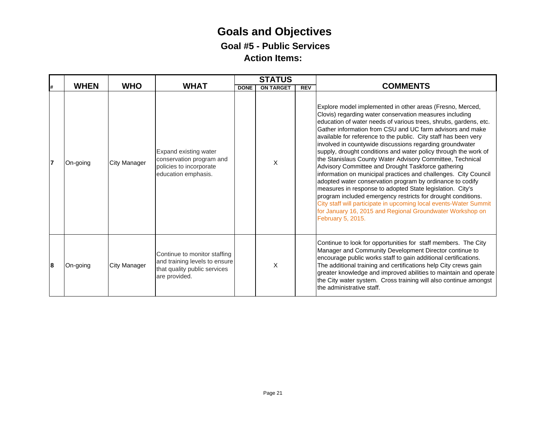|    |             |                     |                                                                                                                |             | <b>STATUS</b>    |            |                                                                                                                                                                                                                                                                                                                                                                                                                                                                                                                                                                                                                                                                                                                                                                                                                                                                                                                                                                                                |
|----|-------------|---------------------|----------------------------------------------------------------------------------------------------------------|-------------|------------------|------------|------------------------------------------------------------------------------------------------------------------------------------------------------------------------------------------------------------------------------------------------------------------------------------------------------------------------------------------------------------------------------------------------------------------------------------------------------------------------------------------------------------------------------------------------------------------------------------------------------------------------------------------------------------------------------------------------------------------------------------------------------------------------------------------------------------------------------------------------------------------------------------------------------------------------------------------------------------------------------------------------|
| l# | <b>WHEN</b> | <b>WHO</b>          | <b>WHAT</b>                                                                                                    | <b>DONE</b> | <b>ON TARGET</b> | <b>REV</b> | <b>COMMENTS</b>                                                                                                                                                                                                                                                                                                                                                                                                                                                                                                                                                                                                                                                                                                                                                                                                                                                                                                                                                                                |
| 17 | On-going    | <b>City Manager</b> | Expand existing water<br>conservation program and<br>policies to incorporate<br>education emphasis.            |             | X                |            | Explore model implemented in other areas (Fresno, Merced,<br>Clovis) regarding water conservation measures including<br>education of water needs of various trees, shrubs, gardens, etc.<br>Gather information from CSU and UC farm advisors and make<br>available for reference to the public. City staff has been very<br>involved in countywide discussions regarding groundwater<br>supply, drought conditions and water policy through the work of<br>the Stanislaus County Water Advisory Committee, Technical<br>Advisory Committee and Drought Taskforce gathering<br>information on municipal practices and challenges. City Council<br>adopted water conservation program by ordinance to codify<br>measures in response to adopted State legislation. City's<br>program included emergency restricts for drought conditions.<br>City staff will participate in upcoming local events-Water Summit<br>for January 16, 2015 and Regional Groundwater Workshop on<br>February 5, 2015. |
| 8  | On-going    | <b>City Manager</b> | Continue to monitor staffing<br>and training levels to ensure<br>that quality public services<br>are provided. |             | X                |            | Continue to look for opportunities for staff members. The City<br>Manager and Community Development Director continue to<br>encourage public works staff to gain additional certifications.<br>The additional training and certifications help City crews gain<br>greater knowledge and improved abilities to maintain and operate<br>the City water system. Cross training will also continue amongst<br>the administrative staff.                                                                                                                                                                                                                                                                                                                                                                                                                                                                                                                                                            |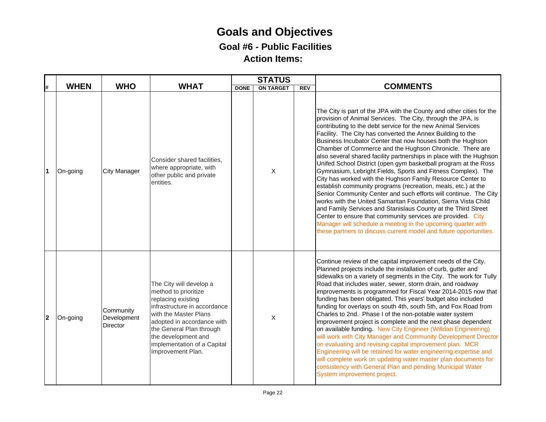### **Goals and Objectives Goal #6 - Public Facilities Action Items:**

|                |             |                                      |                                                                                                                                                                                                                                                                     |             | <b>STATUS</b>    |            |                                                                                                                                                                                                                                                                                                                                                                                                                                                                                                                                                                                                                                                                                                                                                                                                                                                                                                                                                                                                                                                                                                                                                 |  |
|----------------|-------------|--------------------------------------|---------------------------------------------------------------------------------------------------------------------------------------------------------------------------------------------------------------------------------------------------------------------|-------------|------------------|------------|-------------------------------------------------------------------------------------------------------------------------------------------------------------------------------------------------------------------------------------------------------------------------------------------------------------------------------------------------------------------------------------------------------------------------------------------------------------------------------------------------------------------------------------------------------------------------------------------------------------------------------------------------------------------------------------------------------------------------------------------------------------------------------------------------------------------------------------------------------------------------------------------------------------------------------------------------------------------------------------------------------------------------------------------------------------------------------------------------------------------------------------------------|--|
| #              | <b>WHEN</b> | <b>WHO</b>                           | <b>WHAT</b>                                                                                                                                                                                                                                                         | <b>DONE</b> | <b>ON TARGET</b> | <b>REV</b> | <b>COMMENTS</b>                                                                                                                                                                                                                                                                                                                                                                                                                                                                                                                                                                                                                                                                                                                                                                                                                                                                                                                                                                                                                                                                                                                                 |  |
| 1              | On-going    | <b>City Manager</b>                  | Consider shared facilities,<br>where appropriate, with<br>other public and private<br>entities.                                                                                                                                                                     |             | $\mathsf{X}$     |            | The City is part of the JPA with the County and other cities for the<br>provision of Animal Services. The City, through the JPA, is<br>contributing to the debt service for the new Animal Services<br>Facility. The City has converted the Annex Building to the<br>Business Incubator Center that now houses both the Hughson<br>Chamber of Commerce and the Hughson Chronicle. There are<br>also several shared facility partnerships in place with the Hughson<br>Unifed School District (open gym basketball program at the Ross<br>Gymnasium, Lebright Fields, Sports and Fitness Complex). The<br>City has worked with the Hughson Family Resource Center to<br>establish community programs (recreation, meals, etc.) at the<br>Senior Community Center and such efforts will continue. The City<br>works with the United Samaritan Foundation, Sierra Vista Child<br>and Family Services and Stanislaus County at the Third Street<br>Center to ensure that community services are provided. City<br>Manager will schedule a meeting in the upcoming quarter with<br>these partners to discuss current model and future opportunities. |  |
| $\overline{2}$ | On-going    | Community<br>Development<br>Director | The City will develop a<br>method to prioritize<br>replacing existing<br>infrastructure in accordance<br>with the Master Plans<br>adopted in accordance with<br>the General Plan through<br>the development and<br>implementation of a Capital<br>Improvement Plan. |             | $\mathsf{X}$     |            | Continue review of the capital improvement needs of the City.<br>Planned projects include the installation of curb, gutter and<br>sidewalks on a variety of segments in the City. The work for Tully<br>Road that includes water, sewer, storm drain, and roadway<br>improvements is programmed for Fiscal Year 2014-2015 now that<br>funding has been obligated. This years' budget also included<br>funding for overlays on south 4th, south 5th, and Fox Road from<br>Charles to 2nd. Phase I of the non-potable water system<br>improvement project is complete and the next phase dependent<br>on available funding. New City Engineer (Willdan Engineering)<br>will work with City Manager and Community Development Director<br>on evaluating and revising capital improvement plan. MCR<br>Engineering will be retained for water engineering expertise and<br>will complete work on updating water master plan documents for<br>consistency with General Plan and pending Municipal Water<br>System improvement project.                                                                                                               |  |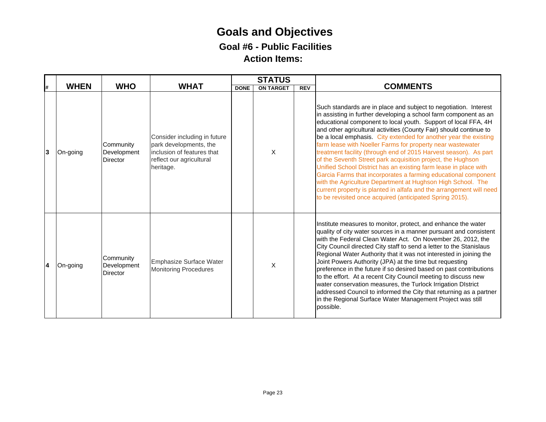### **Goals and Objectives Goal #6 - Public Facilities Action Items:**

|    | <b>WHEN</b> | <b>WHO</b>                                  | <b>WHAT</b>                                                                                                                   |             | <b>STATUS</b>    |     | <b>COMMENTS</b>                                                                                                                                                                                                                                                                                                                                                                                                                                                                                                                                                                                                                                                                                                                                                                                                                                                                           |
|----|-------------|---------------------------------------------|-------------------------------------------------------------------------------------------------------------------------------|-------------|------------------|-----|-------------------------------------------------------------------------------------------------------------------------------------------------------------------------------------------------------------------------------------------------------------------------------------------------------------------------------------------------------------------------------------------------------------------------------------------------------------------------------------------------------------------------------------------------------------------------------------------------------------------------------------------------------------------------------------------------------------------------------------------------------------------------------------------------------------------------------------------------------------------------------------------|
| l# |             |                                             |                                                                                                                               | <b>DONE</b> | <b>ON TARGET</b> | REV |                                                                                                                                                                                                                                                                                                                                                                                                                                                                                                                                                                                                                                                                                                                                                                                                                                                                                           |
| 3  | On-going    | Community<br>Development<br><b>Director</b> | Consider including in future<br>park developments, the<br>inclusion of features that<br>reflect our agricultural<br>heritage. |             | X                |     | Such standards are in place and subject to negotiation. Interest<br>in assisting in further developing a school farm component as an<br>educational component to local youth. Support of local FFA, 4H<br>and other agricultural activities (County Fair) should continue to<br>be a local emphasis. City extended for another year the existing<br>farm lease with Noeller Farms for property near wastewater<br>treatment facility (through end of 2015 Harvest season). As part<br>of the Seventh Street park acquisition project, the Hughson<br>Unified School District has an existing farm lease in place with<br>Garcia Farms that incorporates a farming educational component<br>with the Agriculture Department at Hughson High School. The<br>current property is planted in alfafa and the arrangement will need<br>to be revisited once acquired (anticipated Spring 2015). |
| 14 | On-going    | Community<br>Development<br>Director        | Emphasize Surface Water<br><b>Monitoring Procedures</b>                                                                       |             | X                |     | Institute measures to monitor, protect, and enhance the water<br>quality of city water sources in a manner pursuant and consistent<br>with the Federal Clean Water Act. On November 26, 2012, the<br>City Council directed City staff to send a letter to the Stanislaus<br>Regional Water Authority that it was not interested in joining the<br>Joint Powers Authority (JPA) at the time but requesting<br>preference in the future if so desired based on past contributions<br>to the effort. At a recent City Council meeting to discuss new<br>water conservation measures, the Turlock Irrigation DIstrict<br>addressed Council to informed the City that returning as a partner<br>in the Regional Surface Water Management Project was still<br>possible.                                                                                                                        |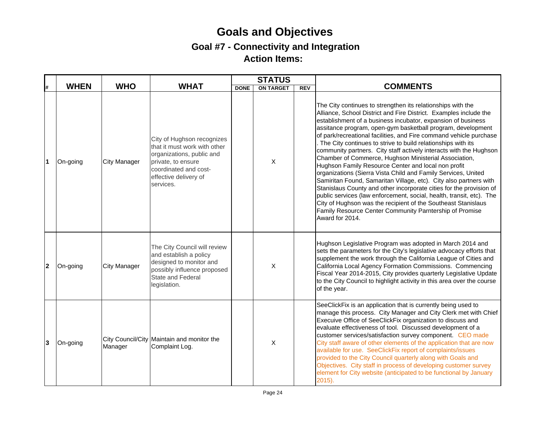|                         |             |                     |                                                                                                                                                                              |             | <b>STATUS</b>             |            |                                                                                                                                                                                                                                                                                                                                                                                                                                                                                                                                                                                                                                                                                                                                                                                                                                                                                                                                                                                                                                   |
|-------------------------|-------------|---------------------|------------------------------------------------------------------------------------------------------------------------------------------------------------------------------|-------------|---------------------------|------------|-----------------------------------------------------------------------------------------------------------------------------------------------------------------------------------------------------------------------------------------------------------------------------------------------------------------------------------------------------------------------------------------------------------------------------------------------------------------------------------------------------------------------------------------------------------------------------------------------------------------------------------------------------------------------------------------------------------------------------------------------------------------------------------------------------------------------------------------------------------------------------------------------------------------------------------------------------------------------------------------------------------------------------------|
| #                       | <b>WHEN</b> | <b>WHO</b>          | <b>WHAT</b>                                                                                                                                                                  | <b>DONE</b> | <b>ON TARGET</b>          | <b>REV</b> | <b>COMMENTS</b>                                                                                                                                                                                                                                                                                                                                                                                                                                                                                                                                                                                                                                                                                                                                                                                                                                                                                                                                                                                                                   |
| $\overline{\mathbf{1}}$ | On-going    | <b>City Manager</b> | City of Hughson recognizes<br>that it must work with other<br>organizations, public and<br>private, to ensure<br>coordinated and cost-<br>effective delivery of<br>services. |             | $\times$                  |            | The City continues to strengthen its relationships with the<br>Alliance, School District and Fire District. Examples include the<br>establishment of a business incubator, expansion of business<br>assitance program, open-gym basketball program, development<br>of park/recreational facilities, and Fire command vehicle purchase<br>. The City continues to strive to build relationships with its<br>community partners. City staff actively interacts with the Hughson<br>Chamber of Commerce, Hughson Ministerial Association,<br>Hughson Family Resource Center and local non profit<br>organizations (Sierra Vista Child and Family Services, United<br>Samiritan Found, Samaritan Village, etc). City also partners with<br>Stanislaus County and other incorporate cities for the provision of<br>public services (law enforcement, social, health, transit, etc). The<br>City of Hughson was the recipient of the Southeast Stanislaus<br>Family Resource Center Community Parntership of Promise<br>Award for 2014. |
| $\overline{2}$          | On-going    | <b>City Manager</b> | The City Council will review<br>and establish a policy<br>designed to monitor and<br>possibly influence proposed<br>State and Federal<br>legislation.                        |             | $\boldsymbol{\mathsf{X}}$ |            | Hughson Legislative Program was adopted in March 2014 and<br>sets the parameters for the City's legislative advocacy efforts that<br>supplement the work through the California League of Cities and<br>California Local Agency Formation Commissions. Commencing<br>Fiscal Year 2014-2015, City provides quarterly Legislative Update<br>to the City Council to highlight activity in this area over the course<br>of the year.                                                                                                                                                                                                                                                                                                                                                                                                                                                                                                                                                                                                  |
| 3                       | On-going    | Manager             | City Council/City Maintain and monitor the<br>Complaint Log.                                                                                                                 |             | X                         |            | SeeClickFix is an application that is currently being used to<br>manage this process. City Manager and City Clerk met with Chief<br>Execuive Office of SeeClickFix organization to discuss and<br>evaluate effectiveness of tool. Discussed development of a<br>customer services/satisfaction survey component. CEO made<br>City staff aware of other elements of the application that are now<br>available for use. SeeClickFix report of complaints/issues<br>provided to the City Council quarterly along with Goals and<br>Objectives. City staff in process of developing customer survey<br>element for City website (anticipated to be functional by January<br>$2015$ ).                                                                                                                                                                                                                                                                                                                                                 |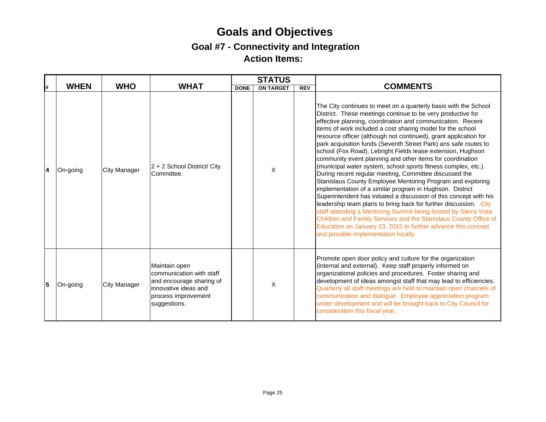|    |             |                     |                                                                                                                                      |             | <b>STATUS</b>    |     |                                                                                                                                                                                                                                                                                                                                                                                                                                                                                                                                                                                                                                                                                                                                                                                                                                                                                                                                                                                                                                                                                                                                                                               |
|----|-------------|---------------------|--------------------------------------------------------------------------------------------------------------------------------------|-------------|------------------|-----|-------------------------------------------------------------------------------------------------------------------------------------------------------------------------------------------------------------------------------------------------------------------------------------------------------------------------------------------------------------------------------------------------------------------------------------------------------------------------------------------------------------------------------------------------------------------------------------------------------------------------------------------------------------------------------------------------------------------------------------------------------------------------------------------------------------------------------------------------------------------------------------------------------------------------------------------------------------------------------------------------------------------------------------------------------------------------------------------------------------------------------------------------------------------------------|
| l# | <b>WHEN</b> | <b>WHO</b>          | <b>WHAT</b>                                                                                                                          | <b>DONE</b> | <b>ON TARGET</b> | REV | <b>COMMENTS</b>                                                                                                                                                                                                                                                                                                                                                                                                                                                                                                                                                                                                                                                                                                                                                                                                                                                                                                                                                                                                                                                                                                                                                               |
| 14 | On-going    | <b>City Manager</b> | $ 2 + 2$ School District/ City<br>Committee.                                                                                         |             | X                |     | The City continues to meet on a quarterly basis with the School<br>District. These meetings continue to be very productive for<br>effective planning, coordination and communication. Recent<br>items of work included a cost sharing model for the school<br>resource officer (although not continued), grant application for<br>park acquisition funds (Seventh Street Park) ans safe routes to<br>school (Fox Road), Lebright Fields lease extension, Hughson<br>community event planning and other items for coordination<br>(municipal water system, school sports fitness complex, etc.).<br>During recent regular meeting, Committee discussed the<br>Stanislaus County Employee Mentoring Program and exploring<br>implementation of a similar program in Hughson. District<br>Superintendent has initiated a discussion of this concept with his<br>leadership team plans to bring back for further discussion. City<br>staff attending a Mentoring Summit being hosted by Sierra Vista<br>Children and Family Services and the Stanislaus County Office of<br>Education on January 23, 2015 to further advance this concept<br>and possible implementation locally. |
| 5  | On-going    | <b>City Manager</b> | Maintain open<br>communication with staff<br>and encourage sharing of<br>innovative ideas and<br>process improvement<br>suggestions. |             | X                |     | Promote open door policy and culture for the organization<br>(internal and external). Keep staff properly informed on<br>organizational policies and procedures. Foster sharing and<br>development of ideas amongst staff that may lead to efficiencies.<br>Quarterly all staff meetings are held to maintain open channels of<br>communication and dialogue. Employee appreciation program<br>under development and will be brought back to City Council for<br>consideration this fiscal year.                                                                                                                                                                                                                                                                                                                                                                                                                                                                                                                                                                                                                                                                              |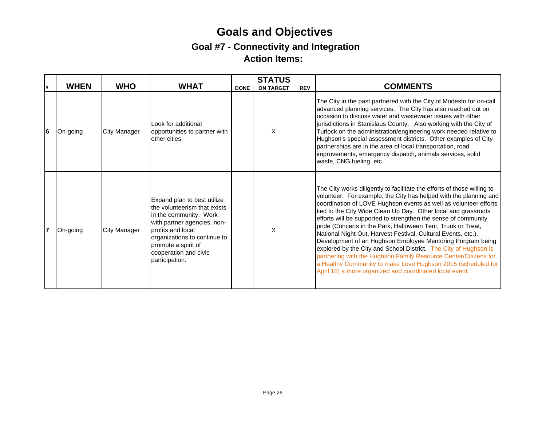|    |             |              |                                                                                                                                                                                                                                             | <b>STATUS</b> |                  |            |                                                                                                                                                                                                                                                                                                                                                                                                                                                                                                                                                                                                                                                                                                                                                                                                                       |
|----|-------------|--------------|---------------------------------------------------------------------------------------------------------------------------------------------------------------------------------------------------------------------------------------------|---------------|------------------|------------|-----------------------------------------------------------------------------------------------------------------------------------------------------------------------------------------------------------------------------------------------------------------------------------------------------------------------------------------------------------------------------------------------------------------------------------------------------------------------------------------------------------------------------------------------------------------------------------------------------------------------------------------------------------------------------------------------------------------------------------------------------------------------------------------------------------------------|
| l# | <b>WHEN</b> | <b>WHO</b>   | <b>WHAT</b>                                                                                                                                                                                                                                 | <b>DONE</b>   | <b>ON TARGET</b> | <b>REV</b> | <b>COMMENTS</b>                                                                                                                                                                                                                                                                                                                                                                                                                                                                                                                                                                                                                                                                                                                                                                                                       |
| 16 | On-going    | City Manager | Look for additional<br>opportunities to partner with<br>other cities.                                                                                                                                                                       |               | X                |            | The City in the past partnered with the City of Modesto for on-call<br>advanced planning services. The City has also reached out on<br>occasion to discuss water and wastewater issues with other<br>jurisdictions in Stanislaus County. Also working with the City of<br>Turlock on the administration/engineering work needed relative to<br>Hughson's special assessment districts. Other examples of City<br>partnerships are in the area of local transportation, road<br>improvements, emergency dispatch, animals services, solid<br>waste, CNG fueling, etc.                                                                                                                                                                                                                                                  |
| 17 | On-going    | City Manager | Expand plan to best utilize<br>the volunteerism that exists<br>in the community. Work<br>with partner agencies, non-<br>profits and local<br>organizations to continue to<br>promote a spirit of<br>cooperation and civic<br>participation. |               | X                |            | The City works diligently to facilitate the efforts of those willing to<br>volunteer. For example, the City has helped with the planning and<br>coordination of LOVE Hughson events as well as volunteer efforts<br>tied to the City Wide Clean Up Day. Other local and grassroots<br>efforts will be supported to strengthen the sense of community<br>pride (Concerts in the Park, Halloween Tent, Trunk or Treat,<br>National Night Out, Harvest Festival, Cultural Events, etc.).<br>Development of an Hughson Employee Mentoring Porgram being<br>explored by the City and School District. The City of Hughson is<br>partnering with the Hughson Family Resource Center/Citizens for<br>a Healthy Community to make Love Hughson 2015 (scheduled for<br>April 18) a more organized and coordinated local event. |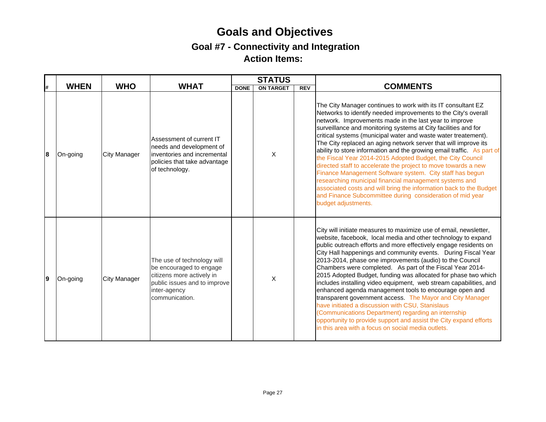| #  | <b>WHEN</b> | <b>WHO</b>          | <b>WHAT</b>                                                                                                                                          | <b>DONE</b> | <b>STATUS</b><br><b>ON TARGET</b> | <b>REV</b> | <b>COMMENTS</b>                                                                                                                                                                                                                                                                                                                                                                                                                                                                                                                                                                                                                                                                                                                                                                                                                                                                                      |
|----|-------------|---------------------|------------------------------------------------------------------------------------------------------------------------------------------------------|-------------|-----------------------------------|------------|------------------------------------------------------------------------------------------------------------------------------------------------------------------------------------------------------------------------------------------------------------------------------------------------------------------------------------------------------------------------------------------------------------------------------------------------------------------------------------------------------------------------------------------------------------------------------------------------------------------------------------------------------------------------------------------------------------------------------------------------------------------------------------------------------------------------------------------------------------------------------------------------------|
|    |             |                     |                                                                                                                                                      |             |                                   |            |                                                                                                                                                                                                                                                                                                                                                                                                                                                                                                                                                                                                                                                                                                                                                                                                                                                                                                      |
| 18 | On-going    | City Manager        | Assessment of current IT<br>needs and development of<br>inventories and incremental<br>policies that take advantage<br>of technology.                |             | X                                 |            | The City Manager continues to work with its IT consultant EZ<br>Networks to identify needed improvements to the City's overall<br>network. Improvements made in the last year to improve<br>surveillance and monitoring systems at City facilities and for<br>critical systems (municipal water and waste water treatement).<br>The City replaced an aging network server that will improve its<br>ability to store information and the growing email traffic. As part of<br>the Fiscal Year 2014-2015 Adopted Budget, the City Council<br>directed staff to accelerate the project to move towards a new<br>Finance Management Software system. City staff has begun<br>researching municipal financial management systems and<br>associated costs and will bring the information back to the Budget<br>and Finance Subcommittee during consideration of mid year<br>budget adjustments.            |
| Ι9 | On-going    | <b>City Manager</b> | The use of technology will<br>be encouraged to engage<br>citizens more actively in<br>public issues and to improve<br>inter-agency<br>communication. |             | X                                 |            | City will initiate measures to maximize use of email, newsletter,<br>website, facebook, local media and other technology to expand<br>public outreach efforts and more effectively engage residents on<br>City Hall happenings and community events. During Fiscal Year<br>2013-2014, phase one improvements (audio) to the Council<br>Chambers were completed. As part of the Fiscal Year 2014-<br>2015 Adopted Budget, funding was allocated for phase two which<br>includes installing video equipment, web stream capabilities, and<br>enhanced agenda management tools to encourage open and<br>transparent government access. The Mayor and City Manager<br>have initiated a discussion with CSU, Stanislaus<br>(Communications Department) regarding an internship<br>opportunity to provide support and assist the City expand efforts<br>in this area with a focus on social media outlets. |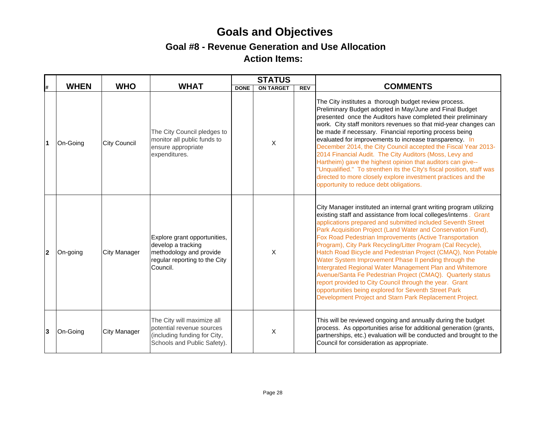## **Goals and Objectives Goal #8 - Revenue Generation and Use Allocation Action Items:**

| #   | <b>WHEN</b> | <b>WHO</b>          | <b>WHAT</b>                                                                                                                |             | <b>STATUS</b>    |     | <b>COMMENTS</b>                                                                                                                                                                                                                                                                                                                                                                                                                                                                                                                                                                                                                                                                                                                                                                                                                     |
|-----|-------------|---------------------|----------------------------------------------------------------------------------------------------------------------------|-------------|------------------|-----|-------------------------------------------------------------------------------------------------------------------------------------------------------------------------------------------------------------------------------------------------------------------------------------------------------------------------------------------------------------------------------------------------------------------------------------------------------------------------------------------------------------------------------------------------------------------------------------------------------------------------------------------------------------------------------------------------------------------------------------------------------------------------------------------------------------------------------------|
|     |             |                     |                                                                                                                            | <b>DONE</b> | <b>ON TARGET</b> | REV |                                                                                                                                                                                                                                                                                                                                                                                                                                                                                                                                                                                                                                                                                                                                                                                                                                     |
| l 1 | On-Going    | <b>City Council</b> | The City Council pledges to<br>monitor all public funds to<br>ensure appropriate<br>expenditures.                          |             | X                |     | The City institutes a thorough budget review process.<br>Preliminary Budget adopted in May/June and Final Budget<br>presented once the Auditors have completed their preliminary<br>work. City staff monitors revenues so that mid-year changes can<br>be made if necessary. Financial reporting process being<br>evaluated for improvements to increase transparency. In<br>December 2014, the City Council accepted the Fiscal Year 2013-<br>2014 Financial Audit. The City Auditors (Moss, Levy and<br>Hartheim) gave the highest opinion that auditors can give--<br>"Unqualified." To strenthen its the Clty's fiscal position, staff was<br>directed to more closely explore investment practices and the<br>opportunity to reduce debt obligations.                                                                          |
| 12  | On-going    | <b>City Manager</b> | Explore grant opportunities,<br>develop a tracking<br>methodology and provide<br>regular reporting to the City<br>Council. |             | $\times$         |     | City Manager instituted an internal grant writing program utilizing<br>existing staff and assistance from local colleges/interns. Grant<br>applications prepared and submitted included Seventh Street<br>Park Acquisition Project (Land Water and Conservation Fund),<br>Fox Road Pedestrian Improvements (Active Transportation<br>Program), City Park Recycling/Litter Program (Cal Recycle),<br>Hatch Road Bicycle and Pedestrian Project (CMAQ), Non Potable<br>Water System Improvement Phase II pending through the<br>Intergrated Regional Water Management Plan and Whitemore<br>Avenue/Santa Fe Pedestrian Project (CMAQ). Quarterly status<br>report provided to City Council through the year. Grant<br>opportunities being explored for Seventh Street Park<br>Development Project and Starn Park Replacement Project. |
| 3   | On-Going    | <b>City Manager</b> | The City will maximize all<br>potential revenue sources<br>(including funding for City,<br>Schools and Public Safety).     |             | X                |     | This will be reviewed ongoing and annually during the budget<br>process. As opportunities arise for additional generation (grants,<br>partnerships, etc.) evaluation will be conducted and brought to the<br>Council for consideration as appropriate.                                                                                                                                                                                                                                                                                                                                                                                                                                                                                                                                                                              |